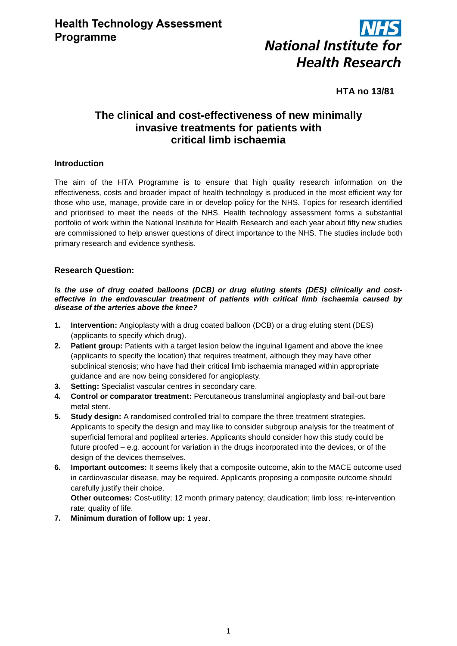

## **HTA no 13/81**

# **The clinical and cost-effectiveness of new minimally invasive treatments for patients with critical limb ischaemia**

## **Introduction**

The aim of the HTA Programme is to ensure that high quality research information on the effectiveness, costs and broader impact of health technology is produced in the most efficient way for those who use, manage, provide care in or develop policy for the NHS. Topics for research identified and prioritised to meet the needs of the NHS. Health technology assessment forms a substantial portfolio of work within the National Institute for Health Research and each year about fifty new studies are commissioned to help answer questions of direct importance to the NHS. The studies include both primary research and evidence synthesis.

## **Research Question:**

#### *Is the use of drug coated balloons (DCB) or drug eluting stents (DES) clinically and costeffective in the endovascular treatment of patients with critical limb ischaemia caused by disease of the arteries above the knee?*

- **1. Intervention:** Angioplasty with a drug coated balloon (DCB) or a drug eluting stent (DES) (applicants to specify which drug).
- **2. Patient group:** Patients with a target lesion below the inguinal ligament and above the knee (applicants to specify the location) that requires treatment, although they may have other subclinical stenosis; who have had their critical limb ischaemia managed within appropriate guidance and are now being considered for angioplasty.
- **3. Setting:** Specialist vascular centres in secondary care.
- **4. Control or comparator treatment:** Percutaneous transluminal angioplasty and bail-out bare metal stent.
- **5. Study design:** A randomised controlled trial to compare the three treatment strategies. Applicants to specify the design and may like to consider subgroup analysis for the treatment of superficial femoral and popliteal arteries. Applicants should consider how this study could be future proofed – e.g. account for variation in the drugs incorporated into the devices, or of the design of the devices themselves.
- **6. Important outcomes:** It seems likely that a composite outcome, akin to the MACE outcome used in cardiovascular disease, may be required. Applicants proposing a composite outcome should carefully justify their choice.

**Other outcomes:** Cost-utility; 12 month primary patency; claudication; limb loss; re-intervention rate; quality of life.

**7. Minimum duration of follow up:** 1 year.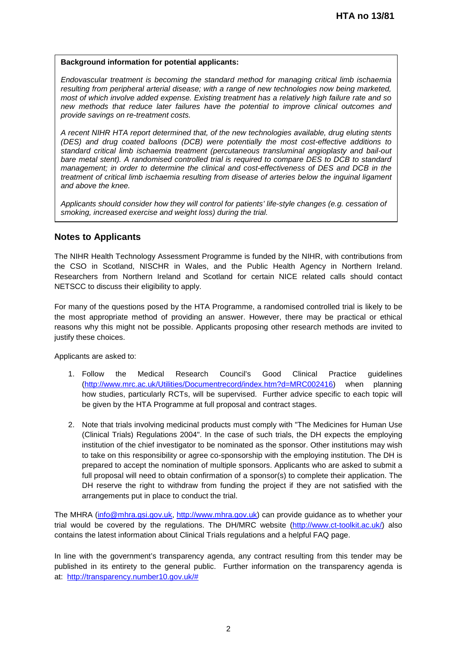#### **Background information for potential applicants:**

*Endovascular treatment is becoming the standard method for managing critical limb ischaemia resulting from peripheral arterial disease; with a range of new technologies now being marketed, most of which involve added expense. Existing treatment has a relatively high failure rate and so new methods that reduce later failures have the potential to improve clinical outcomes and provide savings on re-treatment costs.*

*A recent NIHR HTA report determined that, of the new technologies available, drug eluting stents (DES) and drug coated balloons (DCB) were potentially the most cost-effective additions to standard critical limb ischaemia treatment (percutaneous transluminal angioplasty and bail-out bare metal stent). A randomised controlled trial is required to compare DES to DCB to standard management; in order to determine the clinical and cost-effectiveness of DES and DCB in the treatment of critical limb ischaemia resulting from disease of arteries below the inguinal ligament and above the knee.*

*Applicants should consider how they will control for patients' life-style changes (e.g. cessation of smoking, increased exercise and weight loss) during the trial.*

## **Notes to Applicants**

The NIHR Health Technology Assessment Programme is funded by the NIHR, with contributions from the CSO in Scotland, NISCHR in Wales, and the Public Health Agency in Northern Ireland. Researchers from Northern Ireland and Scotland for certain NICE related calls should contact NETSCC to discuss their eligibility to apply.

For many of the questions posed by the HTA Programme, a randomised controlled trial is likely to be the most appropriate method of providing an answer. However, there may be practical or ethical reasons why this might not be possible. Applicants proposing other research methods are invited to justify these choices.

Applicants are asked to:

- 1. Follow the Medical Research Council's Good Clinical Practice guidelines [\(http://www.mrc.ac.uk/Utilities/Documentrecord/index.htm?d=MRC002416\)](http://www.mrc.ac.uk/Utilities/Documentrecord/index.htm?d=MRC002416) when planning how studies, particularly RCTs, will be supervised. Further advice specific to each topic will be given by the HTA Programme at full proposal and contract stages.
- 2. Note that trials involving medicinal products must comply with "The Medicines for Human Use (Clinical Trials) Regulations 2004". In the case of such trials, the DH expects the employing institution of the chief investigator to be nominated as the sponsor. Other institutions may wish to take on this responsibility or agree co-sponsorship with the employing institution. The DH is prepared to accept the nomination of multiple sponsors. Applicants who are asked to submit a full proposal will need to obtain confirmation of a sponsor(s) to complete their application. The DH reserve the right to withdraw from funding the project if they are not satisfied with the arrangements put in place to conduct the trial.

The MHRA [\(info@mhra.gsi.gov.uk,](mailto:info@mhra.gsi.gov.uk) [http://www.mhra.gov.uk\)](http://www.mhra.gov.uk/) can provide guidance as to whether your trial would be covered by the regulations. The DH/MRC website [\(http://www.ct-toolkit.ac.uk/\)](http://www.ct-toolkit.ac.uk/) also contains the latest information about Clinical Trials regulations and a helpful FAQ page.

In line with the government's transparency agenda, any contract resulting from this tender may be published in its entirety to the general public. Further information on the transparency agenda is at: [http://transparency.number10.gov.uk/#](http://transparency.number10.gov.uk/)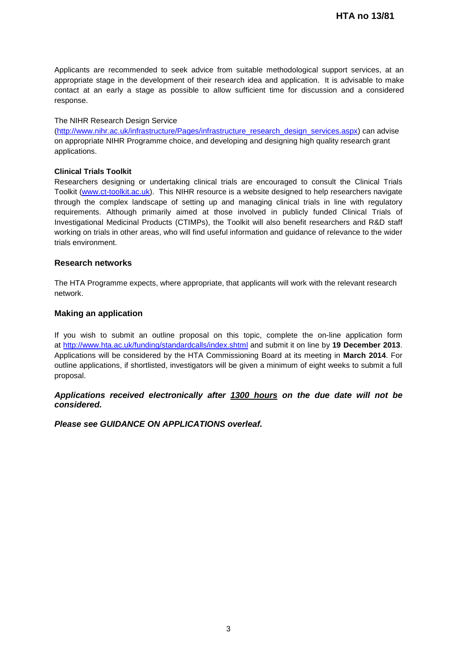Applicants are recommended to seek advice from suitable methodological support services, at an appropriate stage in the development of their research idea and application. It is advisable to make contact at an early a stage as possible to allow sufficient time for discussion and a considered response.

#### The NIHR Research Design Service

[\(http://www.nihr.ac.uk/infrastructure/Pages/infrastructure\\_research\\_design\\_services.aspx\)](http://www.nihr.ac.uk/infrastructure/Pages/infrastructure_research_design_services.aspx) can advise on appropriate NIHR Programme choice, and developing and designing high quality research grant applications.

#### **Clinical Trials Toolkit**

Researchers designing or undertaking clinical trials are encouraged to consult the Clinical Trials Toolkit [\(www.ct-toolkit.ac.uk\)](http://www.ct-toolkit.ac.uk/home). This NIHR resource is a website designed to help researchers navigate through the complex landscape of setting up and managing clinical trials in line with regulatory requirements. Although primarily aimed at those involved in publicly funded Clinical Trials of Investigational Medicinal Products (CTIMPs), the Toolkit will also benefit researchers and R&D staff working on trials in other areas, who will find useful information and guidance of relevance to the wider trials environment.

#### **Research networks**

The HTA Programme expects, where appropriate, that applicants will work with the relevant research network.

#### **Making an application**

If you wish to submit an outline proposal on this topic, complete the on-line application form at http://www.hta.ac.uk/funding/standardcalls/index.shtml and submit it on line by **19 December 2013**. Applications will be considered by the HTA Commissioning Board at its meeting in **March 2014**. For outline applications, if shortlisted, investigators will be given a minimum of eight weeks to submit a full proposal.

*Applications received electronically after 1300 hours on the due date will not be considered.*

*Please see GUIDANCE ON APPLICATIONS overleaf.*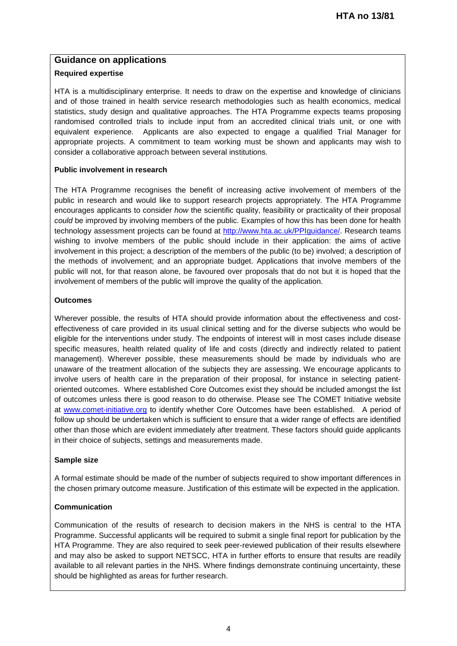## **Guidance on applications**

## **Required expertise**

HTA is a multidisciplinary enterprise. It needs to draw on the expertise and knowledge of clinicians and of those trained in health service research methodologies such as health economics, medical statistics, study design and qualitative approaches. The HTA Programme expects teams proposing randomised controlled trials to include input from an accredited clinical trials unit, or one with equivalent experience. Applicants are also expected to engage a qualified Trial Manager for appropriate projects. A commitment to team working must be shown and applicants may wish to consider a collaborative approach between several institutions.

#### **Public involvement in research**

The HTA Programme recognises the benefit of increasing active involvement of members of the public in research and would like to support research projects appropriately. The HTA Programme encourages applicants to consider *how* the scientific quality, feasibility or practicality of their proposal *could* be improved by involving members of the public. Examples of how this has been done for health technology assessment projects can be found at [http://www.hta.ac.uk/PPIguidance/.](http://www.hta.ac.uk/PPIguidance/) Research teams wishing to involve members of the public should include in their application: the aims of active involvement in this project; a description of the members of the public (to be) involved; a description of the methods of involvement; and an appropriate budget. Applications that involve members of the public will not, for that reason alone, be favoured over proposals that do not but it is hoped that the involvement of members of the public will improve the quality of the application.

#### **Outcomes**

Wherever possible, the results of HTA should provide information about the effectiveness and costeffectiveness of care provided in its usual clinical setting and for the diverse subjects who would be eligible for the interventions under study. The endpoints of interest will in most cases include disease specific measures, health related quality of life and costs (directly and indirectly related to patient management). Wherever possible, these measurements should be made by individuals who are unaware of the treatment allocation of the subjects they are assessing. We encourage applicants to involve users of health care in the preparation of their proposal, for instance in selecting patientoriented outcomes. Where established Core Outcomes exist they should be included amongst the list of outcomes unless there is good reason to do otherwise. Please see The COMET Initiative website at [www.comet-initiative.org](http://www.comet-initiative.org/) to identify whether Core Outcomes have been established. A period of follow up should be undertaken which is sufficient to ensure that a wider range of effects are identified other than those which are evident immediately after treatment. These factors should guide applicants in their choice of subjects, settings and measurements made.

#### **Sample size**

A formal estimate should be made of the number of subjects required to show important differences in the chosen primary outcome measure. Justification of this estimate will be expected in the application.

## **Communication**

Communication of the results of research to decision makers in the NHS is central to the HTA Programme. Successful applicants will be required to submit a single final report for publication by the HTA Programme. They are also required to seek peer-reviewed publication of their results elsewhere and may also be asked to support NETSCC, HTA in further efforts to ensure that results are readily available to all relevant parties in the NHS. Where findings demonstrate continuing uncertainty, these should be highlighted as areas for further research.